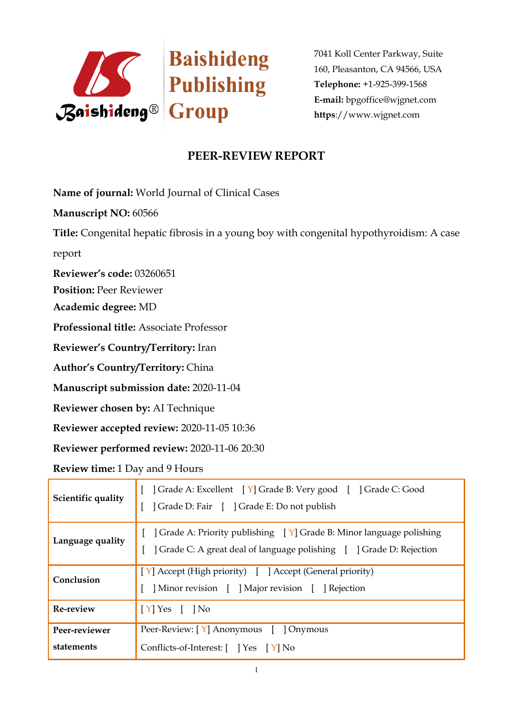

7041 Koll Center Parkway, Suite 160, Pleasanton, CA 94566, USA **Telephone:** +1-925-399-1568 **E-mail:** bpgoffice@wjgnet.com **https**://www.wjgnet.com

## **PEER-REVIEW REPORT**

**Name of journal:** World Journal of Clinical Cases

**Manuscript NO:** 60566

**Title:** Congenital hepatic fibrosis in a young boy with congenital hypothyroidism: A case

report

**Reviewer's code:** 03260651

**Position:** Peer Reviewer

**Academic degree:** MD

**Professional title:** Associate Professor

**Reviewer's Country/Territory:** Iran

**Author's Country/Territory:** China

**Manuscript submission date:** 2020-11-04

**Reviewer chosen by:** AI Technique

**Reviewer accepted review:** 2020-11-05 10:36

**Reviewer performed review:** 2020-11-06 20:30

**Review time:** 1 Day and 9 Hours

| Scientific quality          | [ ] Grade A: Excellent [ Y] Grade B: Very good [ ] Grade C: Good<br>] Grade D: Fair [ ] Grade E: Do not publish                                                       |
|-----------------------------|-----------------------------------------------------------------------------------------------------------------------------------------------------------------------|
| Language quality            | [ $\int$ Grade A: Priority publishing $\left[\gamma\right]$ Grade B: Minor language polishing<br>] Grade C: A great deal of language polishing [ ] Grade D: Rejection |
| Conclusion                  | $\lceil Y \rceil$ Accept (High priority) $\lceil Y \rceil$ Accept (General priority)<br>] Minor revision [ ] Major revision [ ] Rejection                             |
| Re-review                   | $\vert$ [Y] Yes [ ] No                                                                                                                                                |
| Peer-reviewer<br>statements | Peer-Review: [Y] Anonymous [ ] Onymous<br>Conflicts-of-Interest: [ ] Yes [Y] No                                                                                       |